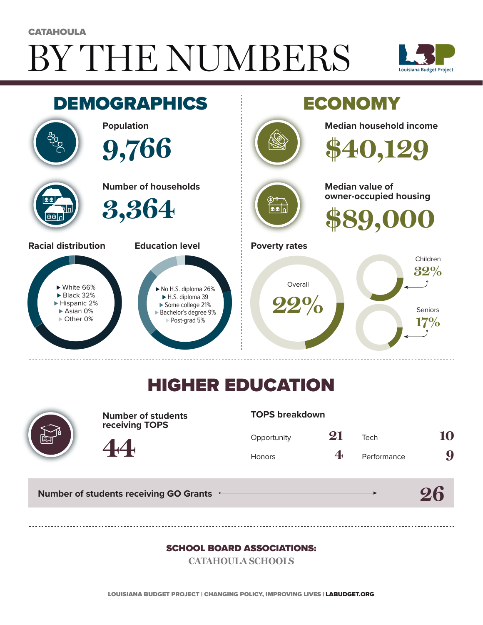# BY THE NUMBERS **CATAHOULA**





## HIGHER EDUCATION



**Number of students receiving TOPS**

#### **TOPS breakdown**

| Opportunity   | 21 | Tech        | 10 |
|---------------|----|-------------|----|
| <b>Honors</b> | 4  | Performance | 9  |

**26**

**Number of students receiving GO Grants**

**44**

#### SCHOOL BOARD ASSOCIATIONS:

**CATAHOULA SCHOOLS**